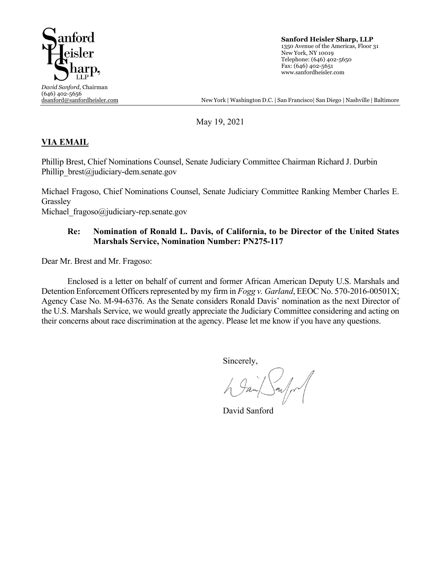

**Sanford Heisler Sharp, LLP** 1350 Avenue of the Americas, Floor 31 New York, NY 10019 Telephone: (646) 402-5650 Fax: (646) 402-5651 www.sanfordheisler.com

New York | Washington D.C. | San Francisco| San Diego | Nashville | Baltimore

May 19, 2021

## **VIA EMAIL**

Phillip Brest, Chief Nominations Counsel, Senate Judiciary Committee Chairman Richard J. Durbin Phillip  $brest@judiciary-dem.senate.gov$ 

Michael Fragoso, Chief Nominations Counsel, Senate Judiciary Committee Ranking Member Charles E. Grassley

Michael fragoso@judiciary-rep.senate.gov

## **Re: Nomination of Ronald L. Davis, of California, to be Director of the United States Marshals Service, Nomination Number: PN275-117**

Dear Mr. Brest and Mr. Fragoso:

Enclosed is a letter on behalf of current and former African American Deputy U.S. Marshals and Detention Enforcement Officers represented by my firm in *Fogg v. Garland*, EEOC No. 570-2016-00501X; Agency Case No. M-94-6376. As the Senate considers Ronald Davis' nomination as the next Director of the U.S. Marshals Service, we would greatly appreciate the Judiciary Committee considering and acting on their concerns about race discrimination at the agency. Please let me know if you have any questions.

Sincerely,

David Sanford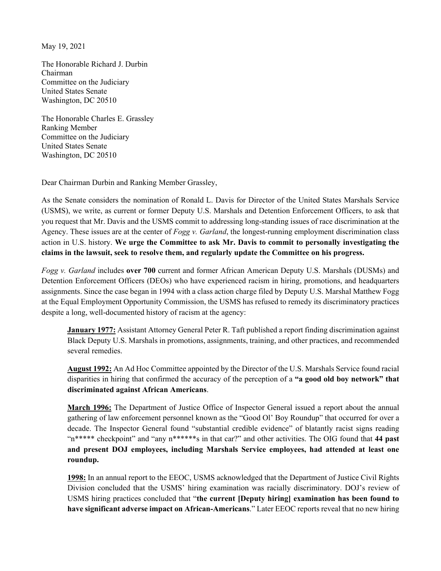May 19, 2021

The Honorable Richard J. Durbin Chairman Committee on the Judiciary United States Senate Washington, DC 20510

The Honorable Charles E. Grassley Ranking Member Committee on the Judiciary United States Senate Washington, DC 20510

Dear Chairman Durbin and Ranking Member Grassley,

As the Senate considers the nomination of Ronald L. Davis for Director of the United States Marshals Service (USMS), we write, as current or former Deputy U.S. Marshals and Detention Enforcement Officers, to ask that you request that Mr. Davis and the USMS commit to addressing long-standing issues of race discrimination at the Agency. These issues are at the center of *Fogg v. Garland*, the longest-running employment discrimination class action in U.S. history. **We urge the Committee to ask Mr. Davis to commit to personally investigating the claims in the lawsuit, seek to resolve them, and regularly update the Committee on his progress.**

*Fogg v. Garland* includes **over 700** current and former African American Deputy U.S. Marshals (DUSMs) and Detention Enforcement Officers (DEOs) who have experienced racism in hiring, promotions, and headquarters assignments. Since the case began in 1994 with a class action charge filed by Deputy U.S. Marshal Matthew Fogg at the Equal Employment Opportunity Commission, the USMS has refused to remedy its discriminatory practices despite a long, well-documented history of racism at the agency:

**January 1977:** Assistant Attorney General Peter R. Taft published a report finding discrimination against Black Deputy U.S. Marshals in promotions, assignments, training, and other practices, and recommended several remedies.

**August 1992:** An Ad Hoc Committee appointed by the Director of the U.S. Marshals Service found racial disparities in hiring that confirmed the accuracy of the perception of a **"a good old boy network" that discriminated against African Americans**.

**March 1996:** The Department of Justice Office of Inspector General issued a report about the annual gathering of law enforcement personnel known as the "Good Ol' Boy Roundup" that occurred for over a decade. The Inspector General found "substantial credible evidence" of blatantly racist signs reading "n\*\*\*\*\* checkpoint" and "any n\*\*\*\*\*\*s in that car?" and other activities. The OIG found that **44 past and present DOJ employees, including Marshals Service employees, had attended at least one roundup.**

**1998:** In an annual report to the EEOC, USMS acknowledged that the Department of Justice Civil Rights Division concluded that the USMS' hiring examination was racially discriminatory. DOJ's review of USMS hiring practices concluded that "**the current [Deputy hiring] examination has been found to have significant adverse impact on African-Americans**." Later EEOC reports reveal that no new hiring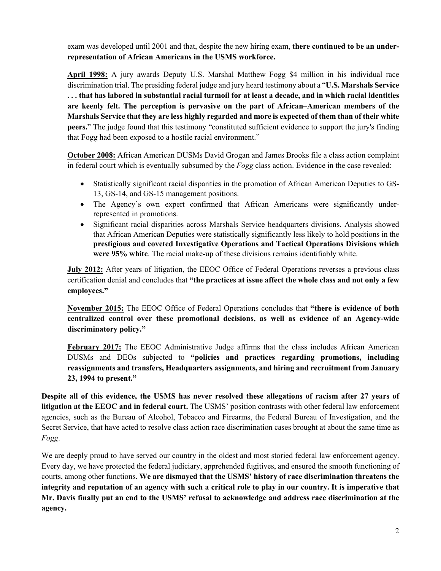exam was developed until 2001 and that, despite the new hiring exam, **there continued to be an underrepresentation of African Americans in the USMS workforce.** 

**April 1998:** A jury awards Deputy U.S. Marshal Matthew Fogg \$4 million in his individual race discrimination trial. The presiding federal judge and jury heard testimony about a "**U.S. Marshals Service . . . that has labored in substantial racial turmoil for at least a decade, and in which racial identities are keenly felt. The perception is pervasive on the part of African–American members of the Marshals Service that they are less highly regarded and more is expected of them than of their white peers.**" The judge found that this testimony "constituted sufficient evidence to support the jury's finding that Fogg had been exposed to a hostile racial environment."

**October 2008:** African American DUSMs David Grogan and James Brooks file a class action complaint in federal court which is eventually subsumed by the *Fogg* class action. Evidence in the case revealed:

- Statistically significant racial disparities in the promotion of African American Deputies to GS-13, GS-14, and GS-15 management positions.
- The Agency's own expert confirmed that African Americans were significantly underrepresented in promotions.
- Significant racial disparities across Marshals Service headquarters divisions. Analysis showed that African American Deputies were statistically significantly less likely to hold positions in the **prestigious and coveted Investigative Operations and Tactical Operations Divisions which were 95% white**. The racial make-up of these divisions remains identifiably white.

**July 2012:** After years of litigation, the EEOC Office of Federal Operations reverses a previous class certification denial and concludes that **"the practices at issue affect the whole class and not only a few employees."** 

**November 2015:** The EEOC Office of Federal Operations concludes that **"there is evidence of both centralized control over these promotional decisions, as well as evidence of an Agency-wide discriminatory policy."**

**February 2017:** The EEOC Administrative Judge affirms that the class includes African American DUSMs and DEOs subjected to **"policies and practices regarding promotions, including reassignments and transfers, Headquarters assignments, and hiring and recruitment from January 23, 1994 to present."** 

**Despite all of this evidence, the USMS has never resolved these allegations of racism after 27 years of litigation at the EEOC and in federal court.** The USMS' position contrasts with other federal law enforcement agencies, such as the Bureau of Alcohol, Tobacco and Firearms, the Federal Bureau of Investigation, and the Secret Service, that have acted to resolve class action race discrimination cases brought at about the same time as *Fogg*.

We are deeply proud to have served our country in the oldest and most storied federal law enforcement agency. Every day, we have protected the federal judiciary, apprehended fugitives, and ensured the smooth functioning of courts, among other functions. **We are dismayed that the USMS' history of race discrimination threatens the integrity and reputation of an agency with such a critical role to play in our country. It is imperative that Mr. Davis finally put an end to the USMS' refusal to acknowledge and address race discrimination at the agency.**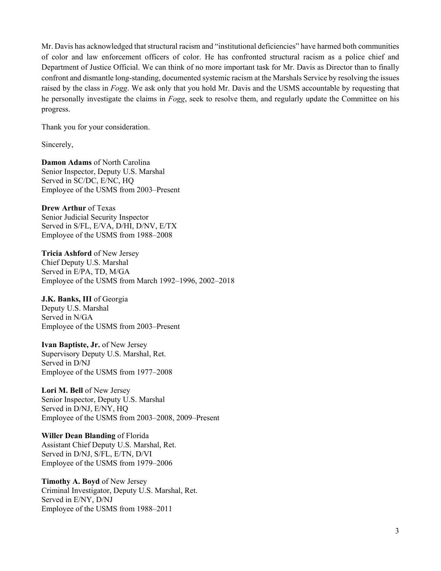Mr. Davis has acknowledged that structural racism and "institutional deficiencies" have harmed both communities of color and law enforcement officers of color. He has confronted structural racism as a police chief and Department of Justice Official. We can think of no more important task for Mr. Davis as Director than to finally confront and dismantle long-standing, documented systemic racism at the Marshals Service by resolving the issues raised by the class in *Fogg*. We ask only that you hold Mr. Davis and the USMS accountable by requesting that he personally investigate the claims in *Fogg*, seek to resolve them, and regularly update the Committee on his progress.

Thank you for your consideration.

Sincerely,

**Damon Adams** of North Carolina Senior Inspector, Deputy U.S. Marshal Served in SC/DC, E/NC, HQ Employee of the USMS from 2003–Present

**Drew Arthur** of Texas Senior Judicial Security Inspector Served in S/FL, E/VA, D/HI, D/NV, E/TX Employee of the USMS from 1988–2008

**Tricia Ashford** of New Jersey Chief Deputy U.S. Marshal Served in E/PA, TD, M/GA Employee of the USMS from March 1992–1996, 2002–2018

**J.K. Banks, III** of Georgia Deputy U.S. Marshal Served in N/GA Employee of the USMS from 2003–Present

**Ivan Baptiste, Jr.** of New Jersey Supervisory Deputy U.S. Marshal, Ret. Served in D/NJ Employee of the USMS from 1977–2008

**Lori M. Bell** of New Jersey Senior Inspector, Deputy U.S. Marshal Served in D/NJ, E/NY, HQ Employee of the USMS from 2003–2008, 2009–Present

**Willer Dean Blanding** of Florida Assistant Chief Deputy U.S. Marshal, Ret. Served in D/NJ, S/FL, E/TN, D/VI Employee of the USMS from 1979–2006

**Timothy A. Boyd** of New Jersey Criminal Investigator, Deputy U.S. Marshal, Ret. Served in E/NY, D/NJ Employee of the USMS from 1988–2011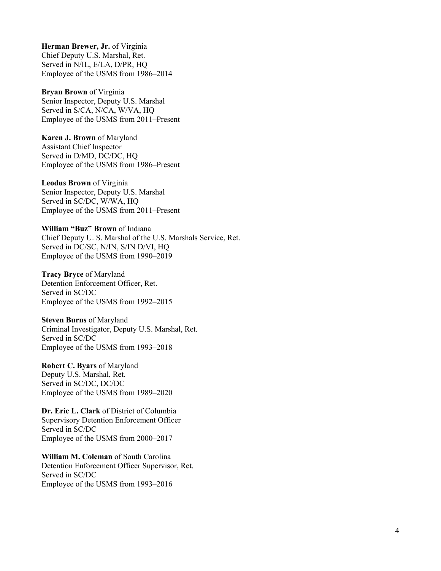**Herman Brewer, Jr.** of Virginia Chief Deputy U.S. Marshal, Ret. Served in N/IL, E/LA, D/PR, HO Employee of the USMS from 1986 –2014

**Bryan Brown** of Virginia Senior Inspector, Deputy U.S. Marshal Served in S/CA, N/CA, W/VA, HQ Employee of the USMS from 2011 –Present

**Karen J. Brown** of Maryland Assistant Chief Inspector Served in D/MD, DC/DC, HQ Employee of the USMS from 1986 –Present

**Leodus Brown** of Virginia Senior Inspector, Deputy U.S. Marshal Served in SC/DC, W/WA, HQ Employee of the USMS from 2011 –Present

**William "Buz" Brown** of Indiana Chief Deputy U. S. Marshal of the U.S. Marshals Service, Ret. Served in DC/SC, N/IN, S/IN D/VI, HQ Employee of the USMS from 1990 –2019

**Tracy Bryce** of Maryland Detention Enforcement Officer, Ret. Served in SC/DC Employee of the USMS from 1992 –2015

**Steven Burns** of Maryland Criminal Investigator, Deputy U.S. Marshal, Ret. Served in SC/DC Employee of the USMS from 1993 –2018

**Robert C. Byars** of Maryland Deputy U.S. Marshal, Ret. Served in SC/DC, DC/DC Employee of the USMS from 1989 –2020

**Dr. Eric L. Clark** of District of Columbia Supervisory Detention Enforcement Officer Served in SC/DC Employee of the USMS from 2000 –2017

**William M. Coleman** of South Carolina Detention Enforcement Officer Supervisor, Ret. Served in SC/DC Employee of the USMS from 1993 –2016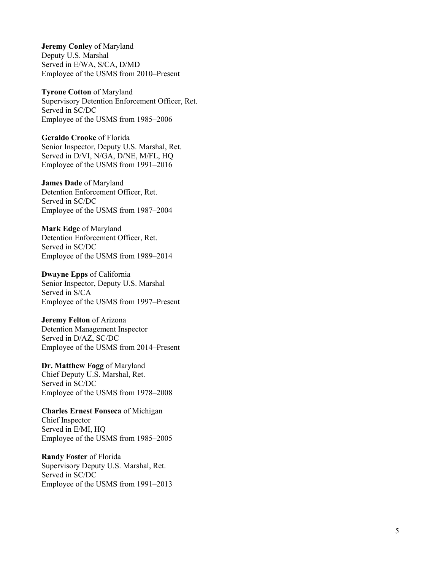**Jeremy Conley** of Maryland Deputy U.S. Marshal Served in E/WA, S/CA, D/MD Employee of the USMS from 2010 –Present

**Tyrone Cotton** of Maryland Supervisory Detention Enforcement Officer, Ret. Served in SC/DC Employee of the USMS from 1985 –2006

**Geraldo Crooke** of Florida Senior Inspector, Deputy U.S. Marshal, Ret. Served in D/VI, N/GA, D/NE, M/FL, HQ Employee of the USMS from 1991 –2016

**James Dad e** of Maryland Detention Enforcement Officer, Ret. Served in SC/DC Employee of the USMS from 1987 –2004

**Mark Edge** of Maryland Detention Enforcement Officer, Ret. Served in SC/DC Employee of the USMS from 1989 –2014

**Dwayne Epps** of California Senior Inspector, Deputy U.S. Marshal Served in S/CA Employee of the USMS from 1997 –Present

**Jeremy Felton** of Arizona Detention Management Inspector Served in D/AZ, SC/DC Employee of the USMS from 2014 –Present

**Dr. Matthew Fogg** of Maryland Chief Deputy U.S. Marshal, Ret. Served in SC/DC Employee of the USMS from 1978 –2008

**Charles Ernest Fonseca** of Michigan Chief Inspector Served in E/MI, HQ Employee of the USMS from 1985 –2005

**Randy Foster** of Florida Supervisory Deputy U.S. Marshal, Ret. Served in SC/DC Employee of the USMS from 1991 –2013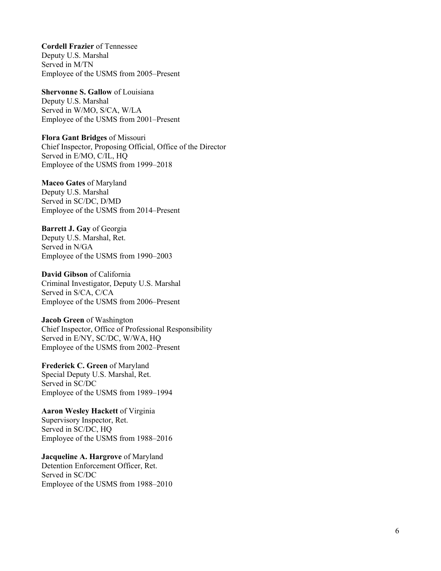**Cordell Frazier** of Tennessee Deputy U.S. Marshal Served in M/TN Employee of the USMS from 2005 –Present

**Shervonne S. Gallow** of Louisiana Deputy U.S. Marshal Served in W/MO, S/CA, W/LA Employee of the USMS from 2001 –Present

**Flora Gant Bridges** of Missouri Chief Inspector, Proposing Official, Office of the Director Served in E/MO, C/IL, HQ Employee of the USMS from 1999 –2018

**Maceo Gates** of Maryland Deputy U.S. Marshal Served in SC/DC, D/MD Employee of the USMS from 2014 –Present

**Barrett J. Gay** of Georgia Deputy U.S. Marshal, Ret. Served in N/GA Employee of the USMS from 1990 –2003

**David Gibson** of California Criminal Investigator, Deputy U.S. Marshal Served in S/CA, C/CA Employee of the USMS from 2006 –Present

**Jacob Green** of Washington Chief Inspector , Office of Professional Responsibility Served in E/NY, SC/DC, W/WA, HQ Employee of the USMS from 2002 –Present

**Frederick C. Green** of Maryland Special Deputy U.S. Marshal, Ret. Served in SC/DC Employee of the USMS from 1989 –1994

**Aaron Wesley Hackett** of Virginia Supervisory Inspector, Ret. Served in SC/DC, HQ Employee of the USMS from 1988 –2016

**Jacqueline A. Hargrove** of Maryland Detention Enforcement Officer, Ret. Served in SC/DC Employee of the USMS from 1988 –2010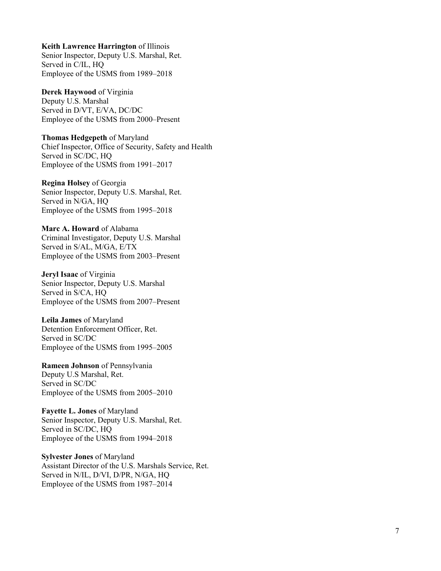**Keith Lawrence Harrington** of Illinois

Senior Inspector, Deputy U.S. Marshal, Ret. Served in C/IL, HQ Employee of the USMS from 1989 –2018

**Derek Haywood** of Virginia

Deputy U.S. Marshal Served in D/VT, E/VA, DC/DC Employee of the USMS from 2000 –Present

**Thomas Hedgepeth** of Maryland Chief Inspector, Office of Security, Safety and Health Served in SC/DC, HQ Employee of the USMS from 1991 –2017

**Regina Holsey** of Georgia Senior Inspector, Deputy U.S. Marshal, Ret. Served in N/GA, HQ Employee of the USMS from 1995 –2018

**Marc A. Howard** of Alabama Criminal Investigator, Deputy U.S. Marshal Served in S/AL, M/GA, E/TX Employee of the USMS from 2003 –Present

**Jeryl Isaac** of Virginia Senior Inspector, Deputy U.S. Marshal Served in S/CA, HQ Employee of the USMS from 2007 –Present

**Leila James** of Maryland Detention Enforcement Officer, Ret. Served in SC/DC Employee of the USMS from 1995 –2005

**Rameen Johnson** of Pennsylvania Deputy U.S Marshal, Ret. Served in SC/DC Employee of the USMS from 2005 –2010

**Fayette L. Jones** of Maryland Senior Inspector, Deputy U.S. Marshal, Ret . Served in SC/DC, HQ Employee of the USMS from 1994 –2018

**Sylvester Jones** of Maryland Assistant Director of the U.S. Marshals Service, Ret. Served in N/IL, D/VI, D/PR, N/GA, HQ Employee of the USMS from 1987 –2014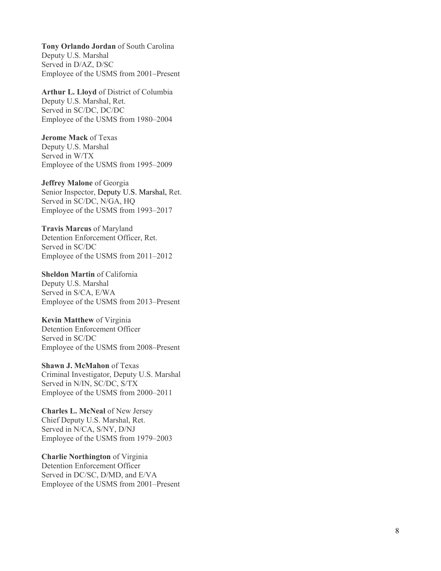**Tony Orlando Jordan** of South Carolina Deputy U.S. Marshal Served in D/AZ, D/SC Employee of the USMS from 2001 –Present

**Arthur L. Lloyd** of District of Columbia Deputy U.S. Marshal, Ret. Served in SC/DC, DC/DC Employee of the USMS from 1980 –2004

**Jerome Mack** of Texas Deputy U.S. Marshal Served in W/TX Employee of the USMS from 1995 –2009

**Jeffrey Malone** of Georgia Senior Inspector, Deputy U.S. Marshal, Ret. Served in SC/DC, N/GA, HQ Employee of the USMS from 1993 –2017

**Travis Marcus** of Maryland Detention Enforcement Officer, Ret. Served in SC/DC Employee of the USMS from 2011 –2012

**Sheldon Martin** of California Deputy U.S. Marshal Served in S/CA, E/WA Employee of the USMS from 2013 –Present

**Kevin Matthew** of Virginia Detention Enforcement Officer Served in SC/DC Employee of the USMS from 2008 –Present

**Shawn J. McMahon** of Texas Criminal Investigator, Deputy U.S. Marshal Served in N/IN, SC/DC, S/TX Employee of the USMS from 2000 –2011

**Charles L. McNeal** of New Jersey Chief Deputy U.S. Marshal, Ret. Served in N/CA, S/NY, D/NJ Employee of the USMS from 1979 –2003

**Charlie Northington** of Virginia Detention Enforcement Officer Served in DC/SC, D/MD, and E/VA Employee of the USMS from 2001 –Present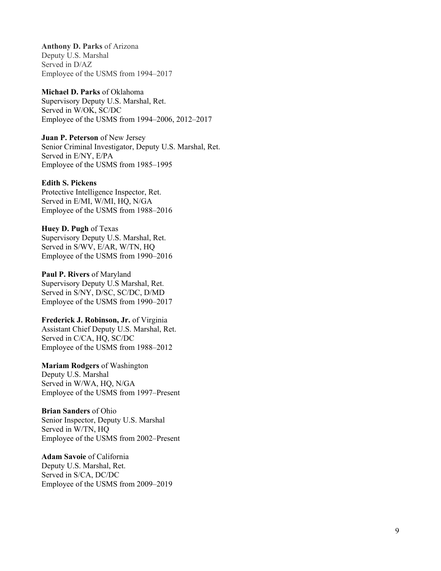**Anthony D. Parks** of Arizona Deputy U.S. Marshal Served in D/AZ Employee of the USMS from 1994 –2017

**Michael D. Parks** of Oklahoma Supervisory Deputy U.S. Marshal, Ret. Served in W/OK, SC/DC Employee of the USMS from 1994 –2006, 2012 –2017

**Juan P. Peterson** of New Jersey Senior Criminal Investigator, Deputy U.S. Marshal, Ret. Served in E/NY, E/PA Employee of the USMS from 1985 –1995

**Edith S. Pickens** Protective Intelligence Inspector, Ret. Served in E/MI, W/MI, HQ, N/GA Employee of the USMS from 1988 –2016

**Huey D. Pugh** of Texas Supervisory Deputy U.S. Marshal, Ret. Served in S/WV, E/AR, W/TN, HQ Employee of the USMS from 1990 –2016

**Paul P. Rivers** of Maryland Supervisory Deputy U.S Marshal, Ret. Served in S/NY, D/SC, SC/DC, D/MD Employee of the USMS from 1990 –2017

**Frederick J. Robinson, Jr.** of Virginia Assistant Chief Deputy U.S. Marshal, Ret. Served in C/CA, HQ, SC/DC Employee of the USMS from 1988 –2012

**Mariam Rodgers** of Washington Deputy U.S. Marshal Served in W/WA, HQ, N/GA Employee of the USMS from 1997 –Present

**Brian Sanders** of Ohio Senior Inspector, Deputy U.S. Marshal Served in W/TN, HQ Employee of the USMS from 2002 –Present

**Adam Savoie** of California Deputy U . S . Marshal, Ret. Served in S/CA, DC/DC Employee of the USMS from 2009 –2019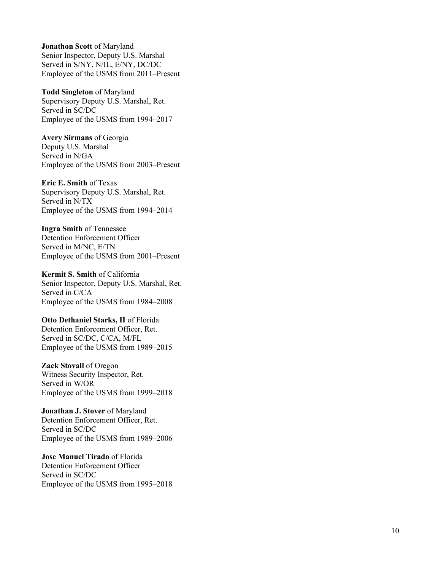**Jonathon Scott** of Maryland Senior Inspector, Deputy U.S. Marshal Served in S/NY, N/IL, E/NY, DC/DC Employee of the USMS from 2011 –Present

**Todd Singleton** of Maryland Supervisory Deputy U.S. Marshal, Ret. Served in SC/DC Employee of the USMS from 1994 –2017

**Avery Sirmans** of Georgia Deputy U.S. Marshal Served in N/GA Employee of the USMS from 2003 –Present

**Eric E. Smith** of Texas Supervisory Deputy U.S. Marshal, Ret. Served in N/TX Employee of the USMS from 1994 –2014

**Ingra Smith** of Tennessee Detention Enforcement Officer Served in M/NC, E/TN Employee of the USMS from 2001 –Present

**Kermit S. Smith** of California Senior Inspector, Deputy U.S. Marshal, Ret. Served in C/CA Employee of the USMS from 1984 –2008

**Otto Dethaniel Starks, II** of Florida Detention Enforcement Officer, Ret. Served in SC/DC, C/CA, M/FL Employee of the USMS from 1989 –2015

**Zack Stovall** of Oregon Witness Security Inspector, Ret. Served in W/OR Employee of the USMS from 1999 –2018

**Jonathan J. Stover** of Maryland Detention Enforcement Officer, Ret. Served in SC/DC Employee of the USMS from 1989 –2006

**Jose Manuel Tirado** of Florida Detention Enforcement Officer Served in SC/DC Employee of the USMS from 1995 –2018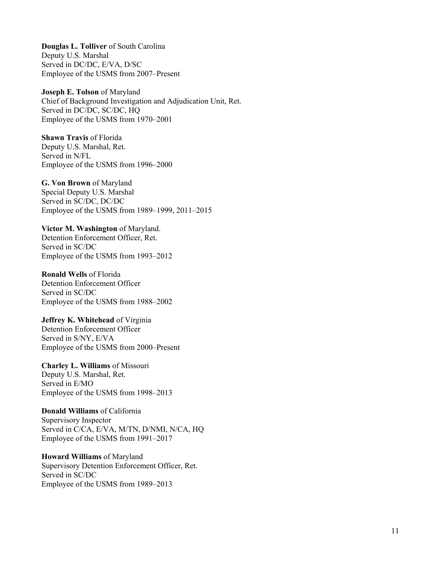**Douglas L. Tolliver** of South Carolina Deputy U.S. Marshal Served in DC/DC, E/VA, D/SC Employee of the USMS from 2007–Present

**Joseph E. Tolson** of Maryland Chief of Background Investigation and Adjudication Unit, Ret. Served in DC/DC, SC/DC, HQ Employee of the USMS from 1970–2001

**Shawn Travis** of Florida Deputy U.S. Marshal, Ret. Served in N/FL Employee of the USMS from 1996–2000

**G. Von Brown** of Maryland Special Deputy U.S. Marshal Served in SC/DC, DC/DC

Employee of the USMS from 1989–1999, 2011–2015

**Victor M. Washington** of Maryland. Detention Enforcement Officer, Ret. Served in SC/DC Employee of the USMS from 1993–2012

**Ronald Wells** of Florida Detention Enforcement Officer Served in SC/DC Employee of the USMS from 1988–2002

**Jeffrey K. Whitehead** of Virginia Detention Enforcement Officer Served in S/NY, E/VA Employee of the USMS from 2000–Present

**Charley L. Williams** of Missouri Deputy U.S. Marshal, Ret. Served in E/MO Employee of the USMS from 1998–2013

**Donald Williams** of California Supervisory Inspector Served in C/CA, E/VA, M/TN, D/NMI, N/CA, HQ Employee of the USMS from 1991–2017

**Howard Williams** of Maryland Supervisory Detention Enforcement Officer, Ret. Served in SC/DC Employee of the USMS from 1989–2013